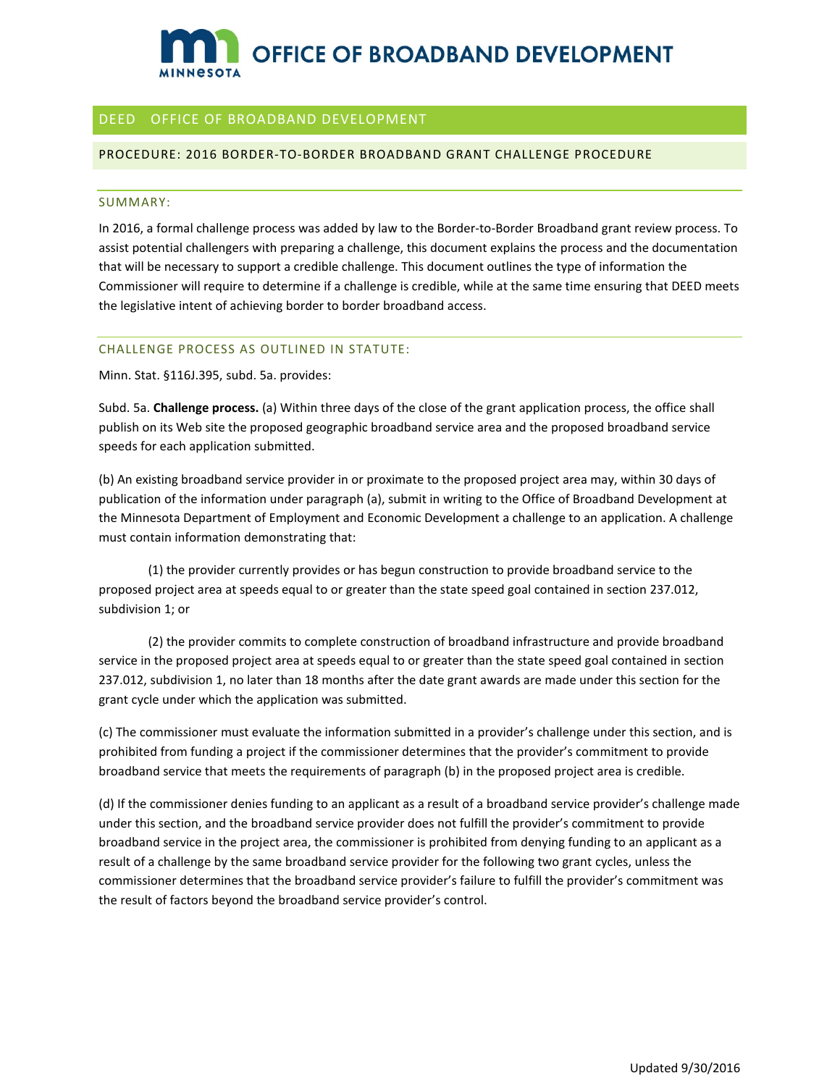# OFFICE OF BROADBAND DEVELOPMENT MINNeSOTA

## - DEED OFFICE OF BROADBAND DEVELOPMENT

#### PROCEDURE: 2016 BORDER-TO-BORDER BROADBAND GRANT CHALLENGE PROCEDURE

#### SUMMARY:

In 2016, a formal challenge process was added by law to the Border-to-Border Broadband grant review process. To assist potential challengers with preparing a challenge, this document explains the process and the documentation that will be necessary to support a credible challenge. This document outlines the type of information the Commissioner will require to determine if a challenge is credible, while at the same time ensuring that DEED meets the legislative intent of achieving border to border broadband access.

#### CHALLENGE PROCESS AS OUTLINED IN STATUTE:

Minn. Stat. §116J.395, subd. 5a. provides:

 Subd. 5a. **Challenge process.** (a) Within three days of the close of the grant application process, the office shall publish on its Web site the proposed geographic broadband service area and the proposed broadband service speeds for each application submitted.

(b) An existing broadband service provider in or proximate to the proposed project area may, within 30 days of publication of the information under paragraph (a), submit in writing to the Office of Broadband Development at the Minnesota Department of Employment and Economic Development a challenge to an application. A challenge must contain information demonstrating that:

(1) the provider currently provides or has begun construction to provide broadband service to the proposed project area at speeds equal to or greater than the state speed goal contained in section 237.012, subdivision 1; or

(2) the provider commits to complete construction of broadband infrastructure and provide broadband service in the proposed project area at speeds equal to or greater than the state speed goal contained in section 237.012, subdivision 1, no later than 18 months after the date grant awards are made under this section for the grant cycle under which the application was submitted.

(c) The commissioner must evaluate the information submitted in a provider's challenge under this section, and is prohibited from funding a project if the commissioner determines that the provider's commitment to provide broadband service that meets the requirements of paragraph (b) in the proposed project area is credible.

 (d) If the commissioner denies funding to an applicant as a result of a broadband service provider's challenge made broadband service in the project area, the commissioner is prohibited from denying funding to an applicant as a under this section, and the broadband service provider does not fulfill the provider's commitment to provide result of a challenge by the same broadband service provider for the following two grant cycles, unless the commissioner determines that the broadband service provider's failure to fulfill the provider's commitment was the result of factors beyond the broadband service provider's control.